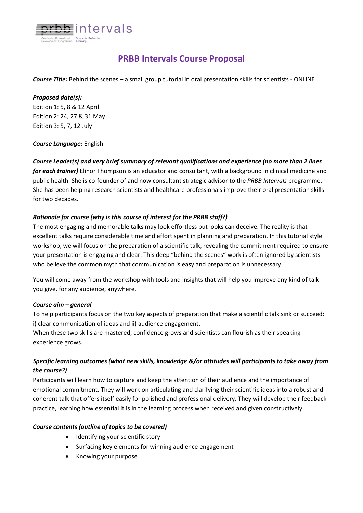

# **PRBB Intervals Course Proposal**

*Course Title:* Behind the scenes – a small group tutorial in oral presentation skills for scientists - ONLINE

#### *Proposed date(s):*

Edition 1: 5, 8 & 12 April Edition 2: 24, 27 & 31 May Edition 3: 5, 7, 12 July

#### *Course Language:* English

*Course Leader(s) and very brief summary of relevant qualifications and experience (no more than 2 lines for each trainer)* Elinor Thompson is an educator and consultant, with a background in clinical medicine and public health. She is co-founder of and now consultant strategic advisor to the *PRBB Intervals* programme. She has been helping research scientists and healthcare professionals improve their oral presentation skills for two decades.

## *Rationale for course (why is this course of interest for the PRBB staff?)*

The most engaging and memorable talks may look effortless but looks can deceive. The reality is that excellent talks require considerable time and effort spent in planning and preparation. In this tutorial style workshop, we will focus on the preparation of a scientific talk, revealing the commitment required to ensure your presentation is engaging and clear. This deep "behind the scenes" work is often ignored by scientists who believe the common myth that communication is easy and preparation is unnecessary.

You will come away from the workshop with tools and insights that will help you improve any kind of talk you give, for any audience, anywhere.

## *Course aim – general*

To help participants focus on the two key aspects of preparation that make a scientific talk sink or succeed: i) clear communication of ideas and ii) audience engagement.

When these two skills are mastered, confidence grows and scientists can flourish as their speaking experience grows.

# *Specific learning outcomes (what new skills, knowledge &/or attitudes will participants to take away from the course?)*

Participants will learn how to capture and keep the attention of their audience and the importance of emotional commitment. They will work on articulating and clarifying their scientific ideas into a robust and coherent talk that offers itself easily for polished and professional delivery. They will develop their feedback practice, learning how essential it is in the learning process when received and given constructively.

## *Course contents (outline of topics to be covered)*

- Identifying your scientific story
- Surfacing key elements for winning audience engagement
- Knowing your purpose